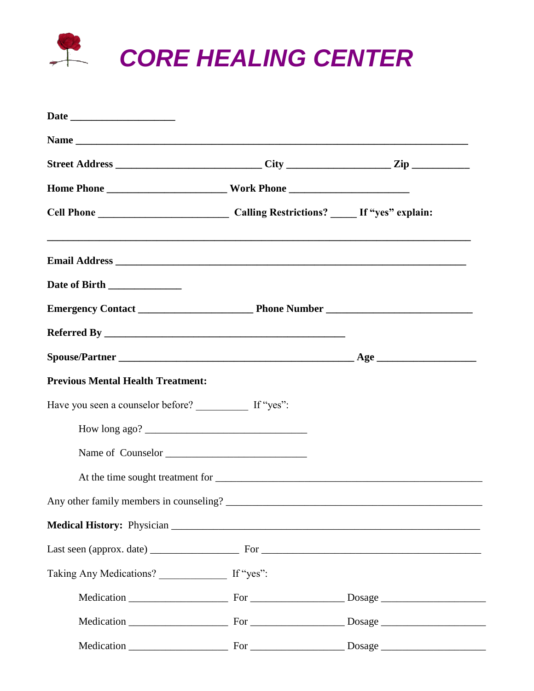

| Date of Birth ______________                         |  |
|------------------------------------------------------|--|
|                                                      |  |
|                                                      |  |
|                                                      |  |
| <b>Previous Mental Health Treatment:</b>             |  |
| Have you seen a counselor before? If "yes":          |  |
|                                                      |  |
| Name of Counselor                                    |  |
|                                                      |  |
|                                                      |  |
|                                                      |  |
|                                                      |  |
| Taking Any Medications? __________________ If "yes": |  |
|                                                      |  |
|                                                      |  |
|                                                      |  |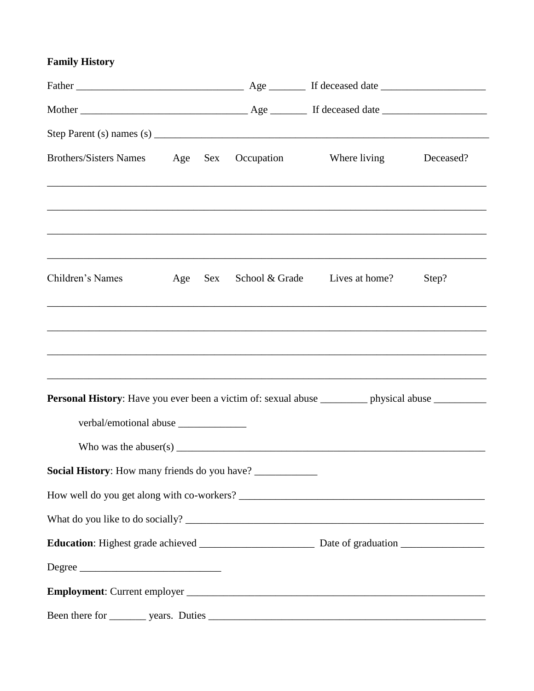## **Family History**

| Brothers/Sisters Names Age Sex                                                                                                                                                                                                                                                                                                                                                                                                   |         | Occupation | Where living                                                                                                                                                                                                                      | Deceased? |
|----------------------------------------------------------------------------------------------------------------------------------------------------------------------------------------------------------------------------------------------------------------------------------------------------------------------------------------------------------------------------------------------------------------------------------|---------|------------|-----------------------------------------------------------------------------------------------------------------------------------------------------------------------------------------------------------------------------------|-----------|
|                                                                                                                                                                                                                                                                                                                                                                                                                                  |         |            |                                                                                                                                                                                                                                   |           |
| Children's Names                                                                                                                                                                                                                                                                                                                                                                                                                 | Age Sex |            | School & Grade Lives at home?                                                                                                                                                                                                     | Step?     |
|                                                                                                                                                                                                                                                                                                                                                                                                                                  |         |            | ,我们也不能会在这里,我们也不能会在这里,我们也不能会在这里,我们也不能会在这里,我们也不能会在这里,我们也不能会在这里,我们也不能会在这里,我们也不能会不能会                                                                                                                                                  |           |
|                                                                                                                                                                                                                                                                                                                                                                                                                                  |         |            |                                                                                                                                                                                                                                   |           |
| Personal History: Have you ever been a victim of: sexual abuse _________ physical abuse ________                                                                                                                                                                                                                                                                                                                                 |         |            | ,我们也不能在这里的时候,我们也不能在这里的时候,我们也不能不能不能不能不能不能不能不能不能不能不能不能不能不能不能。""我们的是我们的,我们也不能不能不能不能                                                                                                                                                  |           |
|                                                                                                                                                                                                                                                                                                                                                                                                                                  |         |            |                                                                                                                                                                                                                                   |           |
|                                                                                                                                                                                                                                                                                                                                                                                                                                  |         |            | Who was the abuser(s) $\frac{1}{2}$ measurement is the state of the state of the state of the state of the state of the state of the state of the state of the state of the state of the state of the state of the state of the s |           |
| Social History: How many friends do you have? ___________                                                                                                                                                                                                                                                                                                                                                                        |         |            |                                                                                                                                                                                                                                   |           |
|                                                                                                                                                                                                                                                                                                                                                                                                                                  |         |            |                                                                                                                                                                                                                                   |           |
|                                                                                                                                                                                                                                                                                                                                                                                                                                  |         |            |                                                                                                                                                                                                                                   |           |
|                                                                                                                                                                                                                                                                                                                                                                                                                                  |         |            |                                                                                                                                                                                                                                   |           |
| $\Large {\bf Degree} \begin{tabular}{c} \hspace{-0.1cm} \textbf{ \textbf{1}} & \hspace{-0.1cm} \textbf{2} & \hspace{-0.1cm} \textbf{2} & \hspace{-0.1cm} \textbf{2} & \hspace{-0.1cm} \textbf{2} & \hspace{-0.1cm} \textbf{2} & \hspace{-0.1cm} \textbf{2} & \hspace{-0.1cm} \textbf{2} & \hspace{-0.1cm} \textbf{2} & \hspace{-0.1cm} \textbf{2} & \hspace{-0.1cm} \textbf{2} & \hspace{-0.1cm} \textbf{2} & \hspace{-0.1cm} \$ |         |            |                                                                                                                                                                                                                                   |           |
|                                                                                                                                                                                                                                                                                                                                                                                                                                  |         |            |                                                                                                                                                                                                                                   |           |
|                                                                                                                                                                                                                                                                                                                                                                                                                                  |         |            |                                                                                                                                                                                                                                   |           |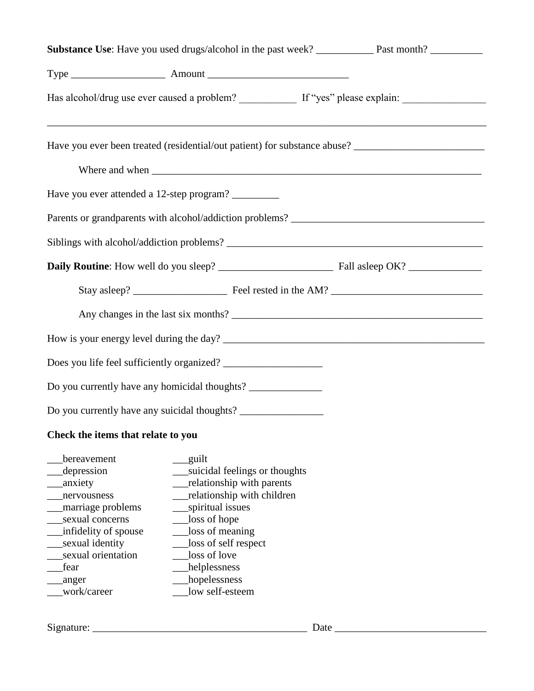| Has alcohol/drug use ever caused a problem? ____________ If "yes" please explain: _________________                                                                                          |                                                                                                                                                                                                                                                     |                                                                                                      |  |  |  |  |
|----------------------------------------------------------------------------------------------------------------------------------------------------------------------------------------------|-----------------------------------------------------------------------------------------------------------------------------------------------------------------------------------------------------------------------------------------------------|------------------------------------------------------------------------------------------------------|--|--|--|--|
|                                                                                                                                                                                              | ,我们也不会有什么。""我们的人,我们也不会有什么?""我们的人,我们也不会有什么?""我们的人,我们也不会有什么?""我们的人,我们也不会有什么?""我们的人                                                                                                                                                                    | Have you ever been treated (residential/out patient) for substance abuse? __________________________ |  |  |  |  |
|                                                                                                                                                                                              |                                                                                                                                                                                                                                                     |                                                                                                      |  |  |  |  |
| Have you ever attended a 12-step program?                                                                                                                                                    |                                                                                                                                                                                                                                                     |                                                                                                      |  |  |  |  |
|                                                                                                                                                                                              |                                                                                                                                                                                                                                                     |                                                                                                      |  |  |  |  |
|                                                                                                                                                                                              |                                                                                                                                                                                                                                                     |                                                                                                      |  |  |  |  |
|                                                                                                                                                                                              |                                                                                                                                                                                                                                                     |                                                                                                      |  |  |  |  |
|                                                                                                                                                                                              |                                                                                                                                                                                                                                                     |                                                                                                      |  |  |  |  |
|                                                                                                                                                                                              |                                                                                                                                                                                                                                                     |                                                                                                      |  |  |  |  |
|                                                                                                                                                                                              |                                                                                                                                                                                                                                                     |                                                                                                      |  |  |  |  |
|                                                                                                                                                                                              |                                                                                                                                                                                                                                                     |                                                                                                      |  |  |  |  |
|                                                                                                                                                                                              | Do you currently have any homicidal thoughts? __________________________________                                                                                                                                                                    |                                                                                                      |  |  |  |  |
|                                                                                                                                                                                              | Do you currently have any suicidal thoughts? ___________________________________                                                                                                                                                                    |                                                                                                      |  |  |  |  |
| Check the items that relate to you                                                                                                                                                           |                                                                                                                                                                                                                                                     |                                                                                                      |  |  |  |  |
| bereavement<br>depression<br>anxiety<br>nervousness<br>marriage problems<br>sexual concerns<br>infidelity of spouse<br>sexual identity<br>sexual orientation<br>fear<br>anger<br>work/career | guilt<br>suicidal feelings or thoughts<br>relationship with parents<br>relationship with children<br>spiritual issues<br>loss of hope<br>loss of meaning<br>loss of self respect<br>loss of love<br>helplessness<br>hopelessness<br>low self-esteem |                                                                                                      |  |  |  |  |

Signature: \_\_\_\_\_\_\_\_\_\_\_\_\_\_\_\_\_\_\_\_\_\_\_\_\_\_\_\_\_\_\_\_\_\_\_\_\_\_\_\_\_ Date \_\_\_\_\_\_\_\_\_\_\_\_\_\_\_\_\_\_\_\_\_\_\_\_\_\_\_\_\_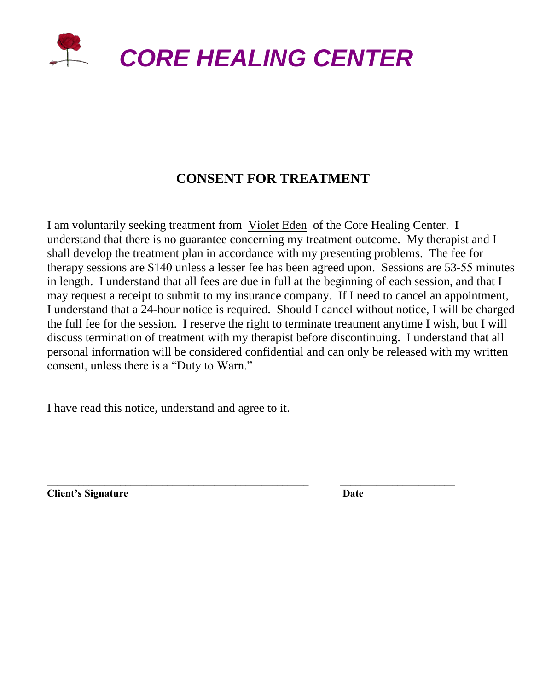

## **CONSENT FOR TREATMENT**

I am voluntarily seeking treatment from Violet Eden of the Core Healing Center. I understand that there is no guarantee concerning my treatment outcome. My therapist and I shall develop the treatment plan in accordance with my presenting problems. The fee for therapy sessions are \$140 unless a lesser fee has been agreed upon. Sessions are 53-55 minutes in length. I understand that all fees are due in full at the beginning of each session, and that I may request a receipt to submit to my insurance company. If I need to cancel an appointment, I understand that a 24-hour notice is required. Should I cancel without notice, I will be charged the full fee for the session. I reserve the right to terminate treatment anytime I wish, but I will discuss termination of treatment with my therapist before discontinuing. I understand that all personal information will be considered confidential and can only be released with my written consent, unless there is a "Duty to Warn."

**\_\_\_\_\_\_\_\_\_\_\_\_\_\_\_\_\_\_\_\_\_\_\_\_\_\_\_\_\_\_\_\_\_\_\_\_\_\_\_\_\_\_\_\_\_\_\_\_\_\_ \_\_\_\_\_\_\_\_\_\_\_\_\_\_\_\_\_\_\_\_\_\_** 

I have read this notice, understand and agree to it.

**Client's Signature Date**